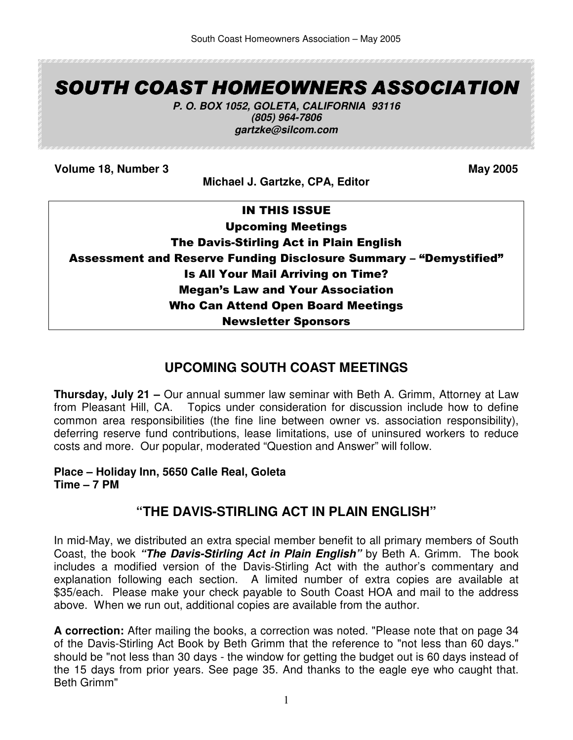# SOUTH COAST HOMEOWNERS ASSOCIATION

**P. O. BOX 1052, GOLETA, CALIFORNIA 93116 (805) 964-7806 gartzke@silcom.com** 

**Volume 18, Number 3** May 2005

**Michael J. Gartzke, CPA, Editor** 

| <b>IN THIS ISSUE</b>                                                     |
|--------------------------------------------------------------------------|
| <b>Upcoming Meetings</b>                                                 |
| The Davis-Stirling Act in Plain English                                  |
| <b>Assessment and Reserve Funding Disclosure Summary - "Demystified"</b> |
| <b>Is All Your Mail Arriving on Time?</b>                                |
| <b>Megan's Law and Your Association</b>                                  |
| <b>Who Can Attend Open Board Meetings</b>                                |
| <b>Newsletter Sponsors</b>                                               |

# **UPCOMING SOUTH COAST MEETINGS**

**Thursday, July 21 –** Our annual summer law seminar with Beth A. Grimm, Attorney at Law from Pleasant Hill, CA. Topics under consideration for discussion include how to define common area responsibilities (the fine line between owner vs. association responsibility), deferring reserve fund contributions, lease limitations, use of uninsured workers to reduce costs and more. Our popular, moderated "Question and Answer" will follow.

**Place – Holiday Inn, 5650 Calle Real, Goleta Time – 7 PM** 

# **"THE DAVIS-STIRLING ACT IN PLAIN ENGLISH"**

In mid-May, we distributed an extra special member benefit to all primary members of South Coast, the book **"The Davis-Stirling Act in Plain English"** by Beth A. Grimm. The book includes a modified version of the Davis-Stirling Act with the author's commentary and explanation following each section. A limited number of extra copies are available at \$35/each. Please make your check payable to South Coast HOA and mail to the address above. When we run out, additional copies are available from the author.

**A correction:** After mailing the books, a correction was noted. "Please note that on page 34 of the Davis-Stirling Act Book by Beth Grimm that the reference to "not less than 60 days." should be "not less than 30 days - the window for getting the budget out is 60 days instead of the 15 days from prior years. See page 35. And thanks to the eagle eye who caught that. Beth Grimm"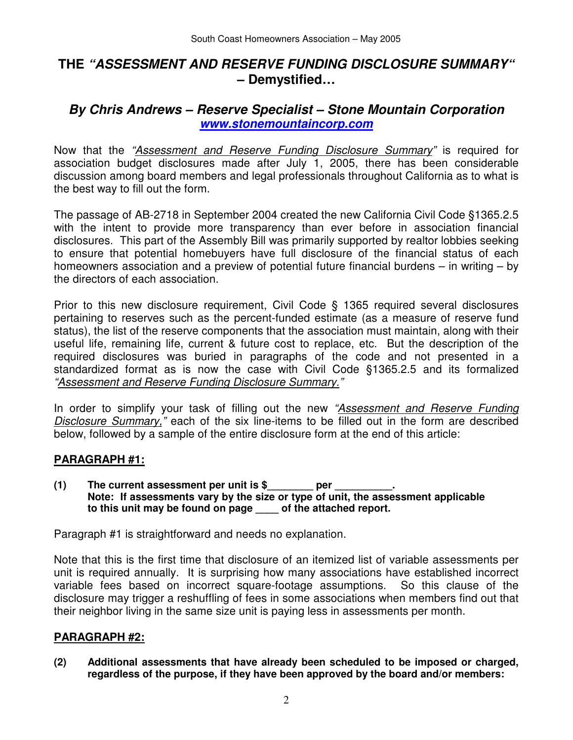# **THE "ASSESSMENT AND RESERVE FUNDING DISCLOSURE SUMMARY" – Demystified…**

# **By Chris Andrews – Reserve Specialist – Stone Mountain Corporation www.stonemountaincorp.com**

Now that the "Assessment and Reserve Funding Disclosure Summary" is required for association budget disclosures made after July 1, 2005, there has been considerable discussion among board members and legal professionals throughout California as to what is the best way to fill out the form.

The passage of AB-2718 in September 2004 created the new California Civil Code §1365.2.5 with the intent to provide more transparency than ever before in association financial disclosures. This part of the Assembly Bill was primarily supported by realtor lobbies seeking to ensure that potential homebuyers have full disclosure of the financial status of each homeowners association and a preview of potential future financial burdens – in writing – by the directors of each association.

Prior to this new disclosure requirement, Civil Code § 1365 required several disclosures pertaining to reserves such as the percent-funded estimate (as a measure of reserve fund status), the list of the reserve components that the association must maintain, along with their useful life, remaining life, current & future cost to replace, etc. But the description of the required disclosures was buried in paragraphs of the code and not presented in a standardized format as is now the case with Civil Code §1365.2.5 and its formalized "Assessment and Reserve Funding Disclosure Summary."

In order to simplify your task of filling out the new "Assessment and Reserve Funding Disclosure Summary," each of the six line-items to be filled out in the form are described below, followed by a sample of the entire disclosure form at the end of this article:

#### **PARAGRAPH #1:**

**(1) The current assessment per unit is \$\_\_\_\_\_\_\_\_ per \_\_\_\_\_\_\_\_\_\_. Note: If assessments vary by the size or type of unit, the assessment applicable to this unit may be found on page \_\_\_\_ of the attached report.** 

Paragraph #1 is straightforward and needs no explanation.

Note that this is the first time that disclosure of an itemized list of variable assessments per unit is required annually. It is surprising how many associations have established incorrect variable fees based on incorrect square-footage assumptions. So this clause of the disclosure may trigger a reshuffling of fees in some associations when members find out that their neighbor living in the same size unit is paying less in assessments per month.

#### **PARAGRAPH #2:**

**(2) Additional assessments that have already been scheduled to be imposed or charged, regardless of the purpose, if they have been approved by the board and/or members:**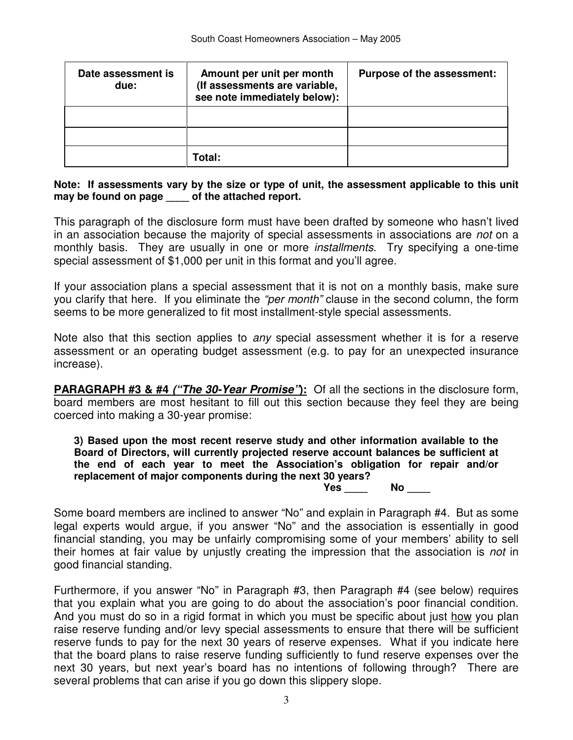| Date assessment is<br>due: | Amount per unit per month<br>(If assessments are variable,<br>see note immediately below): | Purpose of the assessment: |
|----------------------------|--------------------------------------------------------------------------------------------|----------------------------|
|                            |                                                                                            |                            |
|                            |                                                                                            |                            |
|                            | <b>Fotal:</b>                                                                              |                            |

#### **Note: If assessments vary by the size or type of unit, the assessment applicable to this unit may be found on page \_\_\_\_ of the attached report.**

This paragraph of the disclosure form must have been drafted by someone who hasn't lived in an association because the majority of special assessments in associations are *not* on a monthly basis. They are usually in one or more *installments*. Try specifying a one-time special assessment of \$1,000 per unit in this format and you'll agree.

If your association plans a special assessment that it is not on a monthly basis, make sure you clarify that here. If you eliminate the "per month" clause in the second column, the form seems to be more generalized to fit most installment-style special assessments.

Note also that this section applies to *any* special assessment whether it is for a reserve assessment or an operating budget assessment (e.g. to pay for an unexpected insurance increase).

**PARAGRAPH #3 & #4 ("The 30-Year Promise"):** Of all the sections in the disclosure form, board members are most hesitant to fill out this section because they feel they are being coerced into making a 30-year promise:

**3) Based upon the most recent reserve study and other information available to the Board of Directors, will currently projected reserve account balances be sufficient at the end of each year to meet the Association's obligation for repair and/or replacement of major components during the next 30 years? Yes \_\_\_\_ No \_\_\_\_** 

Some board members are inclined to answer "No" and explain in Paragraph #4. But as some legal experts would argue, if you answer "No" and the association is essentially in good financial standing, you may be unfairly compromising some of your members' ability to sell their homes at fair value by unjustly creating the impression that the association is not in good financial standing.

Furthermore, if you answer "No" in Paragraph #3, then Paragraph #4 (see below) requires that you explain what you are going to do about the association's poor financial condition. And you must do so in a rigid format in which you must be specific about just how you plan raise reserve funding and/or levy special assessments to ensure that there will be sufficient reserve funds to pay for the next 30 years of reserve expenses. What if you indicate here that the board plans to raise reserve funding sufficiently to fund reserve expenses over the next 30 years, but next year's board has no intentions of following through? There are several problems that can arise if you go down this slippery slope.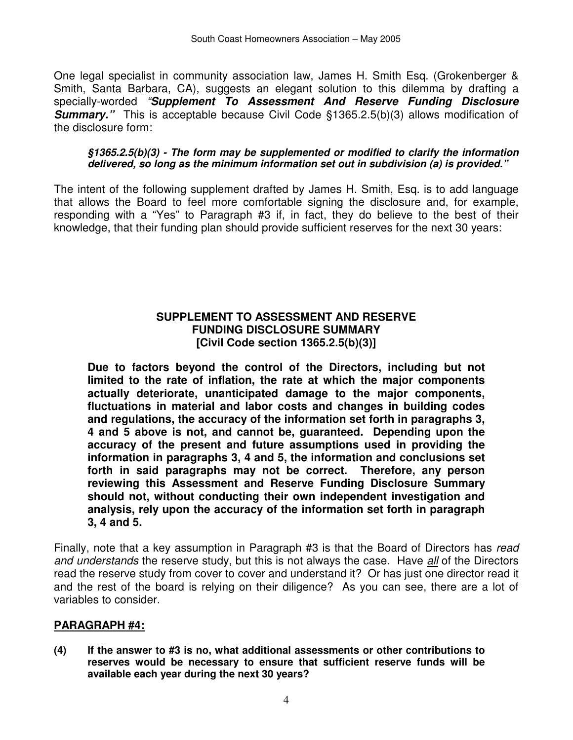One legal specialist in community association law, James H. Smith Esq. (Grokenberger & Smith, Santa Barbara, CA), suggests an elegant solution to this dilemma by drafting a specially-worded "**Supplement To Assessment And Reserve Funding Disclosure Summary.**" This is acceptable because Civil Code §1365.2.5(b)(3) allows modification of the disclosure form:

#### **§1365.2.5(b)(3) - The form may be supplemented or modified to clarify the information delivered, so long as the minimum information set out in subdivision (a) is provided."**

The intent of the following supplement drafted by James H. Smith, Esq. is to add language that allows the Board to feel more comfortable signing the disclosure and, for example, responding with a "Yes" to Paragraph #3 if, in fact, they do believe to the best of their knowledge, that their funding plan should provide sufficient reserves for the next 30 years:

#### **SUPPLEMENT TO ASSESSMENT AND RESERVE FUNDING DISCLOSURE SUMMARY [Civil Code section 1365.2.5(b)(3)]**

**Due to factors beyond the control of the Directors, including but not limited to the rate of inflation, the rate at which the major components actually deteriorate, unanticipated damage to the major components, fluctuations in material and labor costs and changes in building codes and regulations, the accuracy of the information set forth in paragraphs 3, 4 and 5 above is not, and cannot be, guaranteed. Depending upon the accuracy of the present and future assumptions used in providing the information in paragraphs 3, 4 and 5, the information and conclusions set forth in said paragraphs may not be correct. Therefore, any person reviewing this Assessment and Reserve Funding Disclosure Summary should not, without conducting their own independent investigation and analysis, rely upon the accuracy of the information set forth in paragraph 3, 4 and 5.** 

Finally, note that a key assumption in Paragraph #3 is that the Board of Directors has read and understands the reserve study, but this is not always the case. Have all of the Directors read the reserve study from cover to cover and understand it? Or has just one director read it and the rest of the board is relying on their diligence? As you can see, there are a lot of variables to consider.

### **PARAGRAPH #4:**

**(4) If the answer to #3 is no, what additional assessments or other contributions to reserves would be necessary to ensure that sufficient reserve funds will be available each year during the next 30 years?**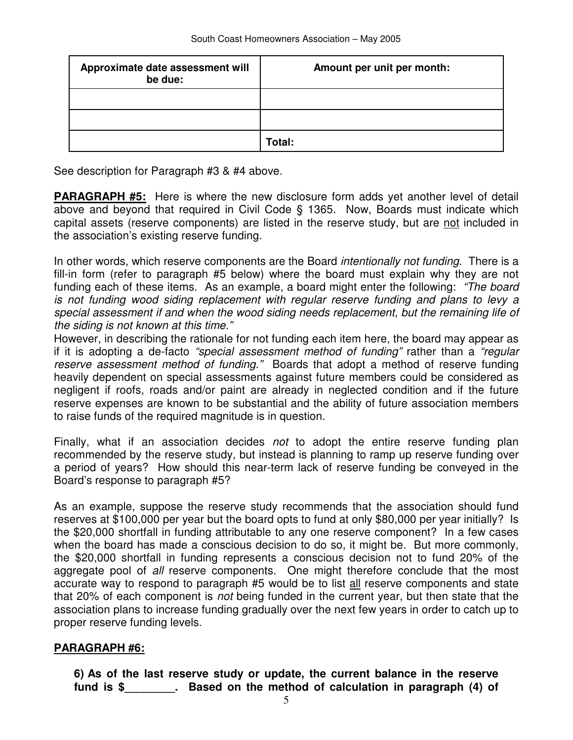| Approximate date assessment will<br>be due: | Amount per unit per month: |
|---------------------------------------------|----------------------------|
|                                             |                            |
|                                             |                            |
|                                             | Total:                     |

See description for Paragraph #3 & #4 above.

**PARAGRAPH #5:** Here is where the new disclosure form adds yet another level of detail above and beyond that required in Civil Code § 1365. Now, Boards must indicate which capital assets (reserve components) are listed in the reserve study, but are not included in the association's existing reserve funding.

In other words, which reserve components are the Board *intentionally not funding*. There is a fill-in form (refer to paragraph #5 below) where the board must explain why they are not funding each of these items. As an example, a board might enter the following: "The board is not funding wood siding replacement with regular reserve funding and plans to levy a special assessment if and when the wood siding needs replacement, but the remaining life of the siding is not known at this time."

However, in describing the rationale for not funding each item here, the board may appear as if it is adopting a de-facto "special assessment method of funding" rather than a "regular reserve assessment method of funding." Boards that adopt a method of reserve funding heavily dependent on special assessments against future members could be considered as negligent if roofs, roads and/or paint are already in neglected condition and if the future reserve expenses are known to be substantial and the ability of future association members to raise funds of the required magnitude is in question.

Finally, what if an association decides not to adopt the entire reserve funding plan recommended by the reserve study, but instead is planning to ramp up reserve funding over a period of years? How should this near-term lack of reserve funding be conveyed in the Board's response to paragraph #5?

As an example, suppose the reserve study recommends that the association should fund reserves at \$100,000 per year but the board opts to fund at only \$80,000 per year initially? Is the \$20,000 shortfall in funding attributable to any one reserve component? In a few cases when the board has made a conscious decision to do so, it might be. But more commonly, the \$20,000 shortfall in funding represents a conscious decision not to fund 20% of the aggregate pool of all reserve components. One might therefore conclude that the most accurate way to respond to paragraph #5 would be to list all reserve components and state that 20% of each component is not being funded in the current year, but then state that the association plans to increase funding gradually over the next few years in order to catch up to proper reserve funding levels.

#### **PARAGRAPH #6:**

**6) As of the last reserve study or update, the current balance in the reserve fund is \$\_\_\_\_\_\_\_\_. Based on the method of calculation in paragraph (4) of**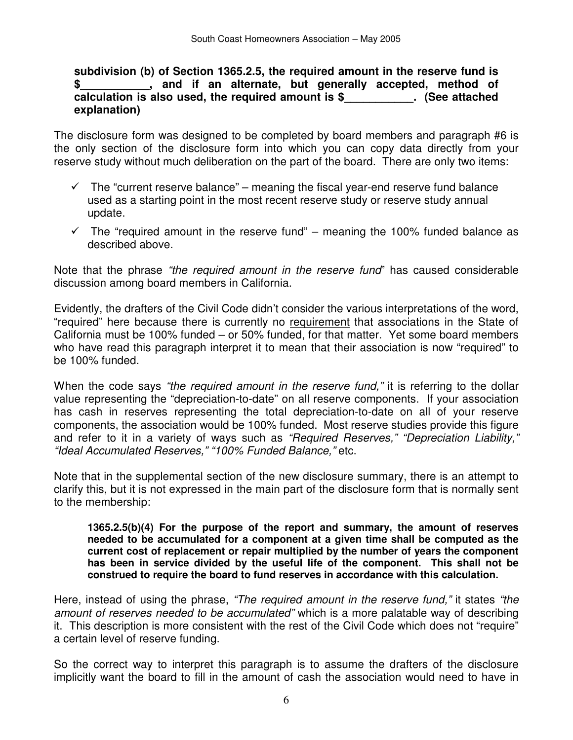**subdivision (b) of Section 1365.2.5, the required amount in the reserve fund is \$\_\_\_\_\_\_\_\_\_\_\_, and if an alternate, but generally accepted, method of calculation is also used, the required amount is \$\_\_\_\_\_\_\_\_\_\_\_. (See attached explanation)** 

The disclosure form was designed to be completed by board members and paragraph #6 is the only section of the disclosure form into which you can copy data directly from your reserve study without much deliberation on the part of the board. There are only two items:

- $\checkmark$  The "current reserve balance" meaning the fiscal year-end reserve fund balance used as a starting point in the most recent reserve study or reserve study annual update.
- $\checkmark$  The "required amount in the reserve fund" meaning the 100% funded balance as described above.

Note that the phrase "the required amount in the reserve fund" has caused considerable discussion among board members in California.

Evidently, the drafters of the Civil Code didn't consider the various interpretations of the word, "required" here because there is currently no requirement that associations in the State of California must be 100% funded – or 50% funded, for that matter. Yet some board members who have read this paragraph interpret it to mean that their association is now "required" to be 100% funded.

When the code says "the required amount in the reserve fund," it is referring to the dollar value representing the "depreciation-to-date" on all reserve components. If your association has cash in reserves representing the total depreciation-to-date on all of your reserve components, the association would be 100% funded. Most reserve studies provide this figure and refer to it in a variety of ways such as "Required Reserves," "Depreciation Liability," "Ideal Accumulated Reserves," "100% Funded Balance," etc.

Note that in the supplemental section of the new disclosure summary, there is an attempt to clarify this, but it is not expressed in the main part of the disclosure form that is normally sent to the membership:

**1365.2.5(b)(4) For the purpose of the report and summary, the amount of reserves needed to be accumulated for a component at a given time shall be computed as the current cost of replacement or repair multiplied by the number of years the component has been in service divided by the useful life of the component. This shall not be construed to require the board to fund reserves in accordance with this calculation.** 

Here, instead of using the phrase, "The required amount in the reserve fund," it states "the amount of reserves needed to be accumulated" which is a more palatable way of describing it. This description is more consistent with the rest of the Civil Code which does not "require" a certain level of reserve funding.

So the correct way to interpret this paragraph is to assume the drafters of the disclosure implicitly want the board to fill in the amount of cash the association would need to have in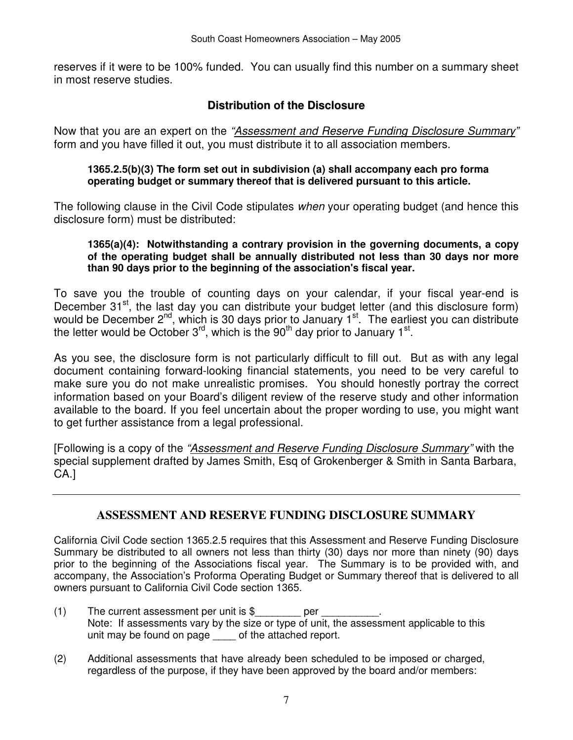reserves if it were to be 100% funded. You can usually find this number on a summary sheet in most reserve studies.

### **Distribution of the Disclosure**

Now that you are an expert on the "Assessment and Reserve Funding Disclosure Summary" form and you have filled it out, you must distribute it to all association members.

#### **1365.2.5(b)(3) The form set out in subdivision (a) shall accompany each pro forma operating budget or summary thereof that is delivered pursuant to this article.**

The following clause in the Civil Code stipulates when your operating budget (and hence this disclosure form) must be distributed:

#### **1365(a)(4): Notwithstanding a contrary provision in the governing documents, a copy of the operating budget shall be annually distributed not less than 30 days nor more than 90 days prior to the beginning of the association's fiscal year.**

To save you the trouble of counting days on your calendar, if your fiscal year-end is December 31<sup>st</sup>, the last day you can distribute your budget letter (and this disclosure form) would be December  $2^{nd}$ , which is 30 days prior to January 1<sup>st</sup>. The earliest you can distribute the letter would be October  $3^{rd}$ , which is the  $90^{th}$  day prior to January 1<sup>st</sup>.

As you see, the disclosure form is not particularly difficult to fill out. But as with any legal document containing forward-looking financial statements, you need to be very careful to make sure you do not make unrealistic promises. You should honestly portray the correct information based on your Board's diligent review of the reserve study and other information available to the board. If you feel uncertain about the proper wording to use, you might want to get further assistance from a legal professional.

[Following is a copy of the "Assessment and Reserve Funding Disclosure Summary" with the special supplement drafted by James Smith, Esq of Grokenberger & Smith in Santa Barbara, CA.]

### **ASSESSMENT AND RESERVE FUNDING DISCLOSURE SUMMARY**

California Civil Code section 1365.2.5 requires that this Assessment and Reserve Funding Disclosure Summary be distributed to all owners not less than thirty (30) days nor more than ninety (90) days prior to the beginning of the Associations fiscal year. The Summary is to be provided with, and accompany, the Association's Proforma Operating Budget or Summary thereof that is delivered to all owners pursuant to California Civil Code section 1365.

- (1) The current assessment per unit is \$\_\_\_\_\_\_\_\_\_\_ per Note: If assessments vary by the size or type of unit, the assessment applicable to this unit may be found on page of the attached report.
- (2) Additional assessments that have already been scheduled to be imposed or charged, regardless of the purpose, if they have been approved by the board and/or members: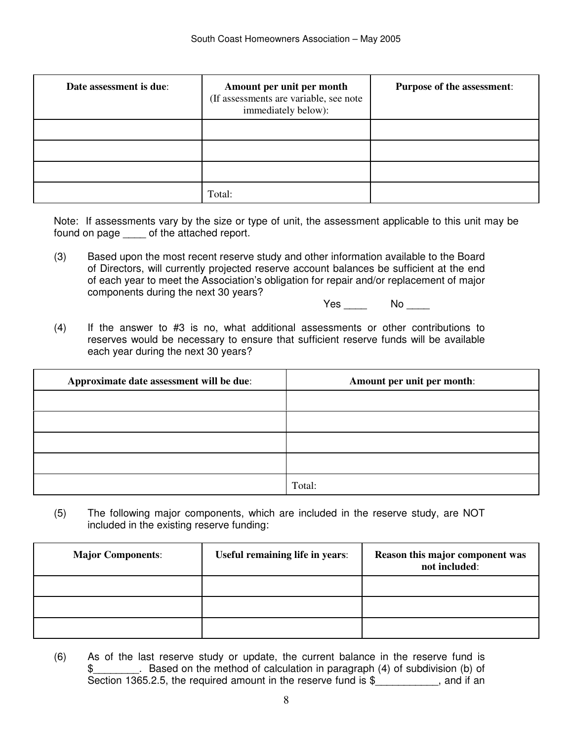| Date assessment is due: | Amount per unit per month<br>(If assessments are variable, see note<br>immediately below): | <b>Purpose of the assessment:</b> |
|-------------------------|--------------------------------------------------------------------------------------------|-----------------------------------|
|                         |                                                                                            |                                   |
|                         |                                                                                            |                                   |
|                         |                                                                                            |                                   |
|                         | Total:                                                                                     |                                   |

Note: If assessments vary by the size or type of unit, the assessment applicable to this unit may be found on page \_\_\_\_ of the attached report.

(3) Based upon the most recent reserve study and other information available to the Board of Directors, will currently projected reserve account balances be sufficient at the end of each year to meet the Association's obligation for repair and/or replacement of major components during the next 30 years?

Yes No No

(4) If the answer to #3 is no, what additional assessments or other contributions to reserves would be necessary to ensure that sufficient reserve funds will be available each year during the next 30 years?

| Approximate date assessment will be due: | Amount per unit per month: |
|------------------------------------------|----------------------------|
|                                          |                            |
|                                          |                            |
|                                          |                            |
|                                          |                            |
|                                          | Total:                     |

(5) The following major components, which are included in the reserve study, are NOT included in the existing reserve funding:

| <b>Major Components:</b> | Useful remaining life in years: | Reason this major component was<br>not included: |
|--------------------------|---------------------------------|--------------------------------------------------|
|                          |                                 |                                                  |
|                          |                                 |                                                  |
|                          |                                 |                                                  |

(6) As of the last reserve study or update, the current balance in the reserve fund is \$\_\_\_\_\_\_\_\_. Based on the method of calculation in paragraph (4) of subdivision (b) of Section 1365.2.5, the required amount in the reserve fund is \$ , and if an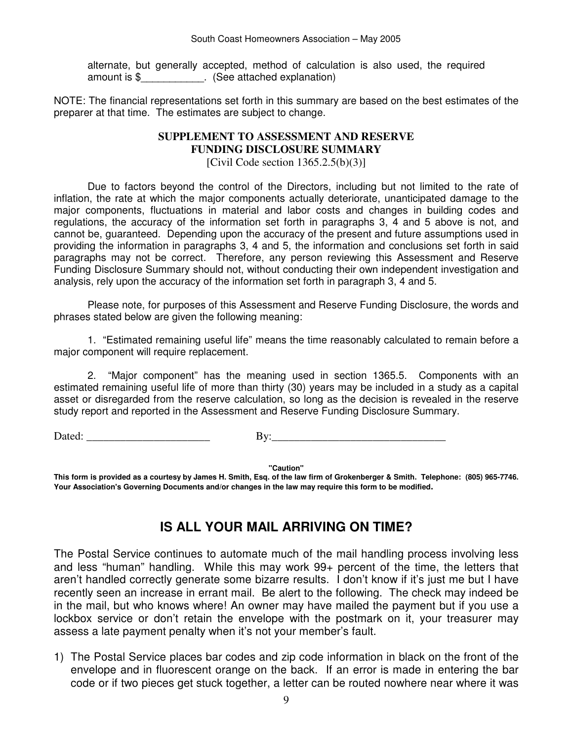alternate, but generally accepted, method of calculation is also used, the required amount is \$\_\_\_\_\_\_\_\_\_\_\_. (See attached explanation)

NOTE: The financial representations set forth in this summary are based on the best estimates of the preparer at that time. The estimates are subject to change.

#### **SUPPLEMENT TO ASSESSMENT AND RESERVE FUNDING DISCLOSURE SUMMARY**

[Civil Code section  $1365.2.5(b)(3)$ ]

Due to factors beyond the control of the Directors, including but not limited to the rate of inflation, the rate at which the major components actually deteriorate, unanticipated damage to the major components, fluctuations in material and labor costs and changes in building codes and regulations, the accuracy of the information set forth in paragraphs 3, 4 and 5 above is not, and cannot be, guaranteed. Depending upon the accuracy of the present and future assumptions used in providing the information in paragraphs 3, 4 and 5, the information and conclusions set forth in said paragraphs may not be correct. Therefore, any person reviewing this Assessment and Reserve Funding Disclosure Summary should not, without conducting their own independent investigation and analysis, rely upon the accuracy of the information set forth in paragraph 3, 4 and 5.

Please note, for purposes of this Assessment and Reserve Funding Disclosure, the words and phrases stated below are given the following meaning:

1. "Estimated remaining useful life" means the time reasonably calculated to remain before a major component will require replacement.

2. "Major component" has the meaning used in section 1365.5. Components with an estimated remaining useful life of more than thirty (30) years may be included in a study as a capital asset or disregarded from the reserve calculation, so long as the decision is revealed in the reserve study report and reported in the Assessment and Reserve Funding Disclosure Summary.

Dated: \_\_\_\_\_\_\_\_\_\_\_\_\_\_\_\_\_\_\_\_\_\_ By:\_\_\_\_\_\_\_\_\_\_\_\_\_\_\_\_\_\_\_\_\_\_\_\_\_\_\_\_\_\_\_

**"Caution"** 

**This form is provided as a courtesy by James H. Smith, Esq. of the law firm of Grokenberger & Smith. Telephone: (805) 965-7746. Your Association's Governing Documents and/or changes in the law may require this form to be modified.**

# **IS ALL YOUR MAIL ARRIVING ON TIME?**

The Postal Service continues to automate much of the mail handling process involving less and less "human" handling. While this may work 99+ percent of the time, the letters that aren't handled correctly generate some bizarre results. I don't know if it's just me but I have recently seen an increase in errant mail. Be alert to the following. The check may indeed be in the mail, but who knows where! An owner may have mailed the payment but if you use a lockbox service or don't retain the envelope with the postmark on it, your treasurer may assess a late payment penalty when it's not your member's fault.

1) The Postal Service places bar codes and zip code information in black on the front of the envelope and in fluorescent orange on the back. If an error is made in entering the bar code or if two pieces get stuck together, a letter can be routed nowhere near where it was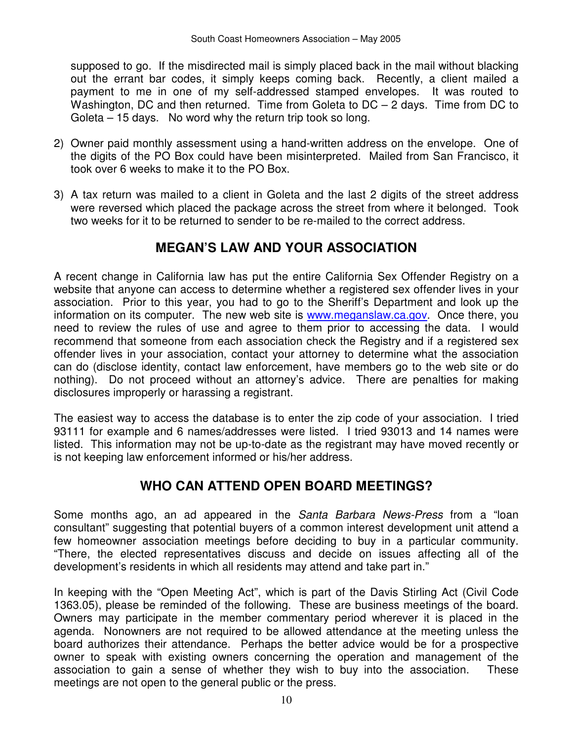supposed to go. If the misdirected mail is simply placed back in the mail without blacking out the errant bar codes, it simply keeps coming back. Recently, a client mailed a payment to me in one of my self-addressed stamped envelopes. It was routed to Washington, DC and then returned. Time from Goleta to DC – 2 days. Time from DC to Goleta – 15 days. No word why the return trip took so long.

- 2) Owner paid monthly assessment using a hand-written address on the envelope. One of the digits of the PO Box could have been misinterpreted. Mailed from San Francisco, it took over 6 weeks to make it to the PO Box.
- 3) A tax return was mailed to a client in Goleta and the last 2 digits of the street address were reversed which placed the package across the street from where it belonged. Took two weeks for it to be returned to sender to be re-mailed to the correct address.

# **MEGAN'S LAW AND YOUR ASSOCIATION**

A recent change in California law has put the entire California Sex Offender Registry on a website that anyone can access to determine whether a registered sex offender lives in your association. Prior to this year, you had to go to the Sheriff's Department and look up the information on its computer. The new web site is www.meganslaw.ca.gov. Once there, you need to review the rules of use and agree to them prior to accessing the data. I would recommend that someone from each association check the Registry and if a registered sex offender lives in your association, contact your attorney to determine what the association can do (disclose identity, contact law enforcement, have members go to the web site or do nothing). Do not proceed without an attorney's advice. There are penalties for making disclosures improperly or harassing a registrant.

The easiest way to access the database is to enter the zip code of your association. I tried 93111 for example and 6 names/addresses were listed. I tried 93013 and 14 names were listed. This information may not be up-to-date as the registrant may have moved recently or is not keeping law enforcement informed or his/her address.

# **WHO CAN ATTEND OPEN BOARD MEETINGS?**

Some months ago, an ad appeared in the Santa Barbara News-Press from a "loan consultant" suggesting that potential buyers of a common interest development unit attend a few homeowner association meetings before deciding to buy in a particular community. "There, the elected representatives discuss and decide on issues affecting all of the development's residents in which all residents may attend and take part in."

In keeping with the "Open Meeting Act", which is part of the Davis Stirling Act (Civil Code 1363.05), please be reminded of the following. These are business meetings of the board. Owners may participate in the member commentary period wherever it is placed in the agenda. Nonowners are not required to be allowed attendance at the meeting unless the board authorizes their attendance. Perhaps the better advice would be for a prospective owner to speak with existing owners concerning the operation and management of the association to gain a sense of whether they wish to buy into the association. These meetings are not open to the general public or the press.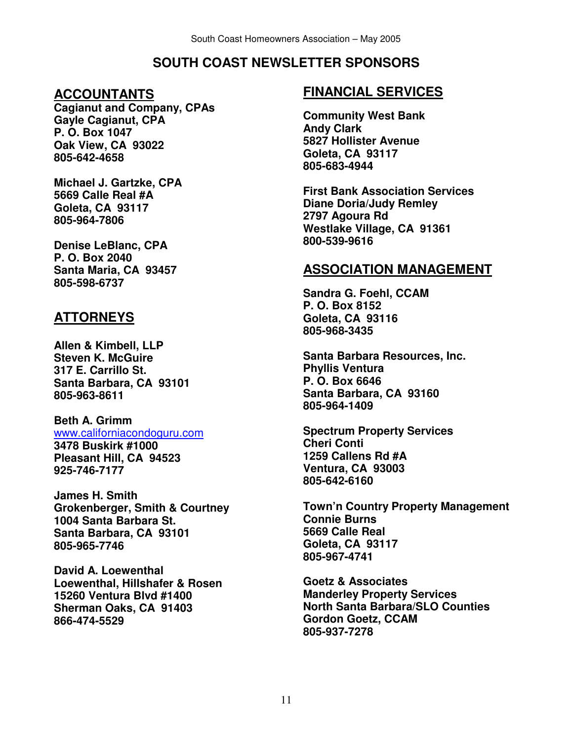# **SOUTH COAST NEWSLETTER SPONSORS**

# **ACCOUNTANTS**

**Cagianut and Company, CPAs Gayle Cagianut, CPA P. O. Box 1047 Oak View, CA 93022 805-642-4658** 

**Michael J. Gartzke, CPA 5669 Calle Real #A Goleta, CA 93117 805-964-7806** 

**Denise LeBlanc, CPA P. O. Box 2040 Santa Maria, CA 93457 805-598-6737** 

# **ATTORNEYS**

**Allen & Kimbell, LLP Steven K. McGuire 317 E. Carrillo St. Santa Barbara, CA 93101 805-963-8611** 

#### **Beth A. Grimm**  www.californiacondoguru.com **3478 Buskirk #1000 Pleasant Hill, CA 94523 925-746-7177**

**James H. Smith Grokenberger, Smith & Courtney 1004 Santa Barbara St. Santa Barbara, CA 93101 805-965-7746** 

**David A. Loewenthal Loewenthal, Hillshafer & Rosen 15260 Ventura Blvd #1400 Sherman Oaks, CA 91403 866-474-5529** 

# **FINANCIAL SERVICES**

**Community West Bank Andy Clark 5827 Hollister Avenue Goleta, CA 93117 805-683-4944** 

**First Bank Association Services Diane Doria/Judy Remley 2797 Agoura Rd Westlake Village, CA 91361 800-539-9616** 

# **ASSOCIATION MANAGEMENT**

**Sandra G. Foehl, CCAM P. O. Box 8152 Goleta, CA 93116 805-968-3435** 

**Santa Barbara Resources, Inc. Phyllis Ventura P. O. Box 6646 Santa Barbara, CA 93160 805-964-1409** 

**Spectrum Property Services Cheri Conti 1259 Callens Rd #A Ventura, CA 93003 805-642-6160** 

**Town'n Country Property Management Connie Burns 5669 Calle Real Goleta, CA 93117 805-967-4741** 

**Goetz & Associates Manderley Property Services North Santa Barbara/SLO Counties Gordon Goetz, CCAM 805-937-7278**